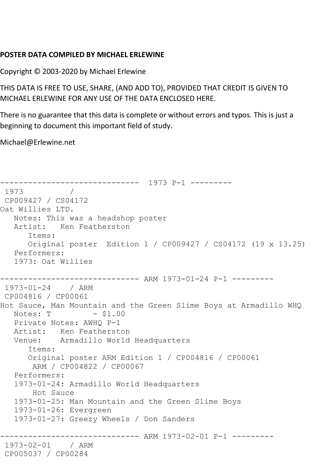## **POSTER DATA COMPILED BY MICHAEL ERLEWINE**

Copyright © 2003-2020 by Michael Erlewine

THIS DATA IS FREE TO USE, SHARE, (AND ADD TO), PROVIDED THAT CREDIT IS GIVEN TO MICHAEL ERLEWINE FOR ANY USE OF THE DATA ENCLOSED HERE.

There is no guarantee that this data is complete or without errors and typos. This is just a beginning to document this important field of study.

Michael@Erlewine.net

------------------------------ 1973 P-1 --------- 1973 / CP009427 / CS04172 Oat Willies LTD. Notes: This was a headshop poster Artist: Ken Featherston Items: Original poster Edition 1 / CP009427 / CS04172 (19 x 13.25) Performers: 1973: Oat Willies ------------------------------ ARM 1973-01-24 P-1 --------- 1973-01-24 / ARM CP004816 / CP00061 Hot Sauce, Man Mountain and the Green Slime Boys at Armadillo WHQ<br>Notes: T - \$1.00 Notes: T Private Notes: AWHQ P-1 Artist: Ken Featherston Venue: Armadillo World Headquarters Items: Original poster ARM Edition 1 / CP004816 / CP00061 ARM / CP004822 / CP00067 Performers: 1973-01-24: Armadillo World Headquarters Hot Sauce 1973-01-25: Man Mountain and the Green Slime Boys 1973-01-26: Evergreen 1973-01-27: Greezy Wheels / Don Sanders ------------------------------ ARM 1973-02-01 P-1 --------- 1973-02-01 / ARM CP005037 / CP00284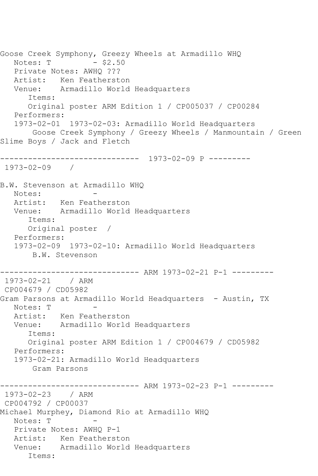Goose Creek Symphony, Greezy Wheels at Armadillo WHQ<br>Notes: T - \$2.50 Notes: T Private Notes: AWHQ ??? Artist: Ken Featherston Venue: Armadillo World Headquarters Items: Original poster ARM Edition 1 / CP005037 / CP00284 Performers: 1973-02-01 1973-02-03: Armadillo World Headquarters Goose Creek Symphony / Greezy Wheels / Manmountain / Green Slime Boys / Jack and Fletch ------------------------------ 1973-02-09 P --------- 1973-02-09 / B.W. Stevenson at Armadillo WHQ Notes: Artist: Ken Featherston Venue: Armadillo World Headquarters Items: Original poster / Performers: 1973-02-09 1973-02-10: Armadillo World Headquarters B.W. Stevenson ------------------------------ ARM 1973-02-21 P-1 --------- 1973-02-21 / ARM CP004679 / CD05982 Gram Parsons at Armadillo World Headquarters - Austin, TX Notes: T Artist: Ken Featherston Venue: Armadillo World Headquarters Items: Original poster ARM Edition 1 / CP004679 / CD05982 Performers: 1973-02-21: Armadillo World Headquarters Gram Parsons ------------------------------ ARM 1973-02-23 P-1 --------- 1973-02-23 / ARM CP004792 / CP00037 Michael Murphey, Diamond Rio at Armadillo WHQ Notes: T Private Notes: AWHQ P-1 Artist: Ken Featherston Venue: Armadillo World Headquarters Items: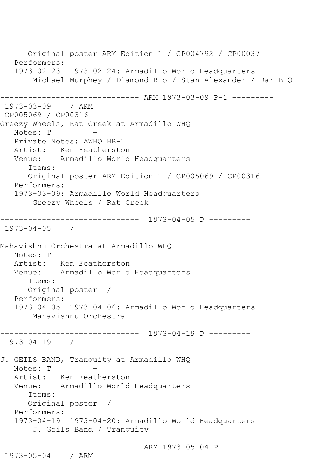Original poster ARM Edition 1 / CP004792 / CP00037 Performers: 1973-02-23 1973-02-24: Armadillo World Headquarters Michael Murphey / Diamond Rio / Stan Alexander / Bar-B-Q ------------------------------ ARM 1973-03-09 P-1 --------- 1973-03-09 / ARM CP005069 / CP00316 Greezy Wheels, Rat Creek at Armadillo WHQ Notes: T Private Notes: AWHQ HB-1 Artist: Ken Featherston Venue: Armadillo World Headquarters Items: Original poster ARM Edition 1 / CP005069 / CP00316 Performers: 1973-03-09: Armadillo World Headquarters Greezy Wheels / Rat Creek ------------------------------ 1973-04-05 P --------- 1973-04-05 / Mahavishnu Orchestra at Armadillo WHQ Notes: T Artist: Ken Featherston Venue: Armadillo World Headquarters Items: Original poster / Performers: 1973-04-05 1973-04-06: Armadillo World Headquarters Mahavishnu Orchestra ------------------------------ 1973-04-19 P --------- 1973-04-19 / J. GEILS BAND, Tranquity at Armadillo WHQ Notes: T - Artist: Ken Featherston Venue: Armadillo World Headquarters Items: Original poster / Performers: 1973-04-19 1973-04-20: Armadillo World Headquarters J. Geils Band / Tranquity ------------------------------ ARM 1973-05-04 P-1 --------- 1973-05-04 / ARM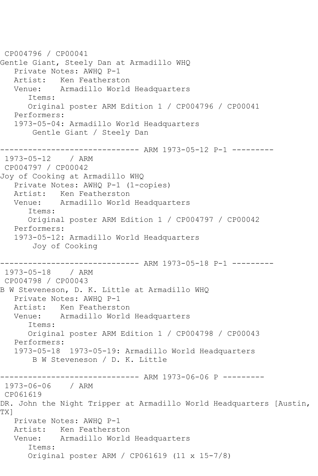CP004796 / CP00041 Gentle Giant, Steely Dan at Armadillo WHQ Private Notes: AWHQ P-1 Artist: Ken Featherston<br>Venue: Armadillo World Armadillo World Headquarters Items: Original poster ARM Edition 1 / CP004796 / CP00041 Performers: 1973-05-04: Armadillo World Headquarters Gentle Giant / Steely Dan ------------------------------ ARM 1973-05-12 P-1 --------- 1973-05-12 / ARM CP004797 / CP00042 Joy of Cooking at Armadillo WHQ Private Notes: AWHQ P-1 (1-copies) Artist: Ken Featherston Venue: Armadillo World Headquarters Items: Original poster ARM Edition 1 / CP004797 / CP00042 Performers: 1973-05-12: Armadillo World Headquarters Joy of Cooking ------------------------------ ARM 1973-05-18 P-1 ---------  $1973 - 05 - 18$ CP004798 / CP00043 B W Steveneson, D. K. Little at Armadillo WHQ Private Notes: AWHQ P-1 Artist: Ken Featherston Venue: Armadillo World Headquarters Items: Original poster ARM Edition 1 / CP004798 / CP00043 Performers: 1973-05-18 1973-05-19: Armadillo World Headquarters B W Steveneson / D. K. Little ----------- ARM 1973-06-06 P ---------1973-06-06 / ARM CP061619 DR. John the Night Tripper at Armadillo World Headquarters [Austin, TX] Private Notes: AWHQ P-1 Artist: Ken Featherston Venue: Armadillo World Headquarters Items: Original poster ARM / CP061619 (11 x 15-7/8)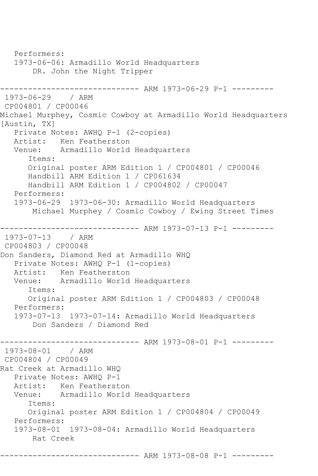Performers: 1973-06-06: Armadillo World Headquarters DR. John the Night Tripper ------------------------------ ARM 1973-06-29 P-1 --------- 1973-06-29 / ARM CP004801 / CP00046 Michael Murphey, Cosmic Cowboy at Armadillo World Headquarters [Austin, TX] Private Notes: AWHQ P-1 (2-copies) Artist: Ken Featherston Venue: Armadillo World Headquarters Items: Original poster ARM Edition 1 / CP004801 / CP00046 Handbill ARM Edition 1 / CP061634 Handbill ARM Edition 1 / CP004802 / CP00047 Performers: 1973-06-29 1973-06-30: Armadillo World Headquarters Michael Murphey / Cosmic Cowboy / Ewing Street Times ------------------------------ ARM 1973-07-13 P-1 --------- 1973-07-13 / ARM CP004803 / CP00048 Don Sanders, Diamond Red at Armadillo WHQ Private Notes: AWHQ P-1 (1-copies) Artist: Ken Featherston Venue: Armadillo World Headquarters Items: Original poster ARM Edition 1 / CP004803 / CP00048 Performers: 1973-07-13 1973-07-14: Armadillo World Headquarters Don Sanders / Diamond Red ------------------------------ ARM 1973-08-01 P-1 --------- 1973-08-01 / ARM CP004804 / CP00049 Rat Creek at Armadillo WHQ Private Notes: AWHQ P-1 Artist: Ken Featherston Venue: Armadillo World Headquarters Items: Original poster ARM Edition 1 / CP004804 / CP00049 Performers: 1973-08-01 1973-08-04: Armadillo World Headquarters Rat Creek ------------------------------ ARM 1973-08-08 P-1 ---------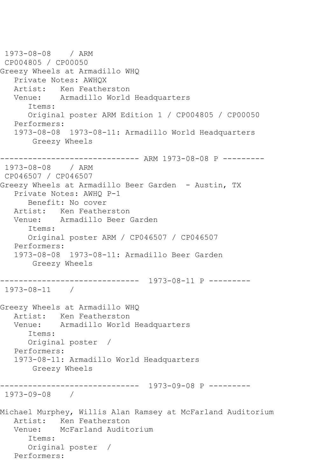```
1973-08-08 / ARM 
CP004805 / CP00050
Greezy Wheels at Armadillo WHQ
   Private Notes: AWHQX
   Artist: Ken Featherston
   Venue: Armadillo World Headquarters
      Items:
       Original poster ARM Edition 1 / CP004805 / CP00050
   Performers:
   1973-08-08 1973-08-11: Armadillo World Headquarters
        Greezy Wheels
------------------------------ ARM 1973-08-08 P ---------
1973-08-08 / ARM 
CP046507 / CP046507
Greezy Wheels at Armadillo Beer Garden - Austin, TX
   Private Notes: AWHQ P-1
      Benefit: No cover
   Artist: Ken Featherston
   Venue: Armadillo Beer Garden
       Items:
       Original poster ARM / CP046507 / CP046507
   Performers:
   1973-08-08 1973-08-11: Armadillo Beer Garden
        Greezy Wheels
  ------------------------------ 1973-08-11 P ---------
1973-08-11 / 
Greezy Wheels at Armadillo WHQ
   Artist: Ken Featherston
   Venue: Armadillo World Headquarters
       Items:
      Original poster / 
   Performers:
   1973-08-11: Armadillo World Headquarters
        Greezy Wheels
  ------------------------------ 1973-09-08 P ---------
1973-09-08 / 
Michael Murphey, Willis Alan Ramsey at McFarland Auditorium
  Artist: Ken Featherston<br>Venue: McFarland Audit
            McFarland Auditorium
       Items:
       Original poster / 
   Performers:
```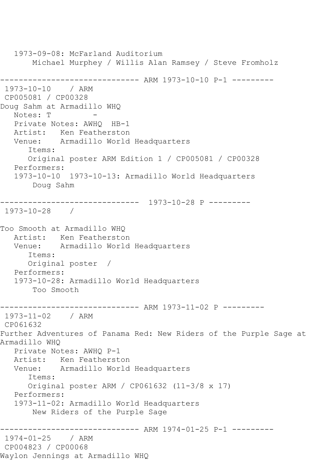1973-09-08: McFarland Auditorium Michael Murphey / Willis Alan Ramsey / Steve Fromholz ------------------------------ ARM 1973-10-10 P-1 --------- 1973-10-10 / ARM CP005081 / CP00328 Doug Sahm at Armadillo WHQ Notes: T Private Notes: AWHQ HB-1 Artist: Ken Featherston Venue: Armadillo World Headquarters Items: Original poster ARM Edition 1 / CP005081 / CP00328 Performers: 1973-10-10 1973-10-13: Armadillo World Headquarters Doug Sahm ------------------------------ 1973-10-28 P --------- 1973-10-28 / Too Smooth at Armadillo WHQ Artist: Ken Featherston<br>Venue: Armadillo World Armadillo World Headquarters Items: Original poster / Performers: 1973-10-28: Armadillo World Headquarters Too Smooth ------------------------------ ARM 1973-11-02 P --------- 1973-11-02 / ARM CP061632 Further Adventures of Panama Red: New Riders of the Purple Sage at Armadillo WHQ Private Notes: AWHQ P-1 Artist: Ken Featherston Venue: Armadillo World Headquarters Items: Original poster ARM / CP061632 (11-3/8 x 17) Performers: 1973-11-02: Armadillo World Headquarters New Riders of the Purple Sage ------------------------------ ARM 1974-01-25 P-1 --------- 1974-01-25 / ARM CP004823 / CP00068 Waylon Jennings at Armadillo WHQ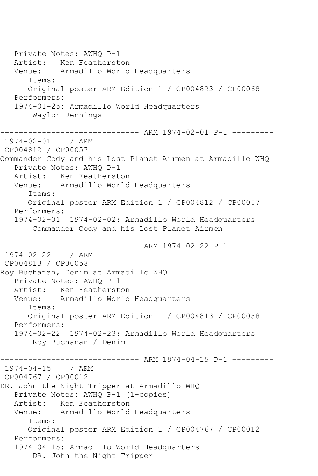Private Notes: AWHQ P-1 Artist: Ken Featherston Venue: Armadillo World Headquarters Items: Original poster ARM Edition 1 / CP004823 / CP00068 Performers: 1974-01-25: Armadillo World Headquarters Waylon Jennings ------------------------------ ARM 1974-02-01 P-1 --------- 1974-02-01 / ARM CP004812 / CP00057 Commander Cody and his Lost Planet Airmen at Armadillo WHQ Private Notes: AWHQ P-1 Artist: Ken Featherston Venue: Armadillo World Headquarters Items: Original poster ARM Edition 1 / CP004812 / CP00057 Performers: 1974-02-01 1974-02-02: Armadillo World Headquarters Commander Cody and his Lost Planet Airmen ------------------------------ ARM 1974-02-22 P-1 --------- 1974-02-22 / ARM CP004813 / CP00058 Roy Buchanan, Denim at Armadillo WHQ Private Notes: AWHQ P-1 Artist: Ken Featherston Venue: Armadillo World Headquarters Items: Original poster ARM Edition 1 / CP004813 / CP00058 Performers: 1974-02-22 1974-02-23: Armadillo World Headquarters Roy Buchanan / Denim ------------------------------ ARM 1974-04-15 P-1 --------- 1974-04-15 / ARM CP004767 / CP00012 DR. John the Night Tripper at Armadillo WHQ Private Notes: AWHQ P-1 (1-copies) Artist: Ken Featherston<br>Venue: Armadillo World Armadillo World Headquarters Items: Original poster ARM Edition 1 / CP004767 / CP00012 Performers: 1974-04-15: Armadillo World Headquarters DR. John the Night Tripper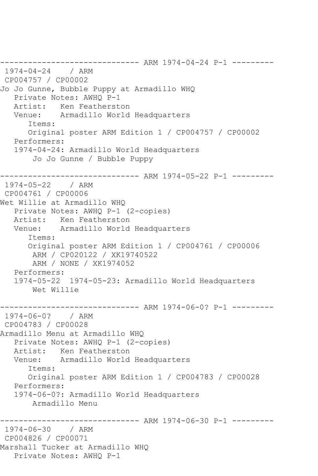------------------------------ ARM 1974-04-24 P-1 --------- 1974-04-24 / ARM CP004757 / CP00002 Jo Jo Gunne, Bubble Puppy at Armadillo WHQ Private Notes: AWHQ P-1 Artist: Ken Featherston Venue: Armadillo World Headquarters Items: Original poster ARM Edition 1 / CP004757 / CP00002 Performers: 1974-04-24: Armadillo World Headquarters Jo Jo Gunne / Bubble Puppy ------------------------------ ARM 1974-05-22 P-1 --------- 1974-05-22 / ARM CP004761 / CP00006 Wet Willie at Armadillo WHQ Private Notes: AWHQ P-1 (2-copies) Artist: Ken Featherston Venue: Armadillo World Headquarters Items: Original poster ARM Edition 1 / CP004761 / CP00006 ARM / CP020122 / XK19740522 ARM / NONE / XK1974052 Performers: 1974-05-22 1974-05-23: Armadillo World Headquarters Wet Willie ------------------------------ ARM 1974-06-0? P-1 --------- 1974-06-0? / ARM CP004783 / CP00028 Armadillo Menu at Armadillo WHQ Private Notes: AWHQ P-1 (2-copies) Artist: Ken Featherston Venue: Armadillo World Headquarters Items: Original poster ARM Edition 1 / CP004783 / CP00028 Performers: 1974-06-0?: Armadillo World Headquarters Armadillo Menu ------------------------------ ARM 1974-06-30 P-1 --------- 1974-06-30 / ARM CP004826 / CP00071 Marshall Tucker at Armadillo WHQ Private Notes: AWHQ P-1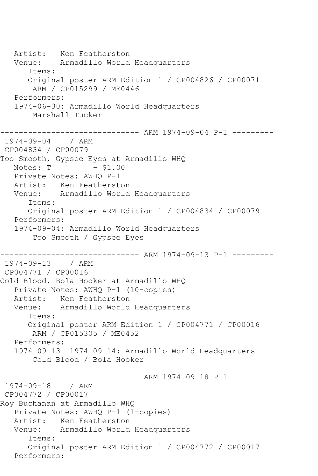Artist: Ken Featherston Venue: Armadillo World Headquarters Items: Original poster ARM Edition 1 / CP004826 / CP00071 ARM / CP015299 / ME0446 Performers: 1974-06-30: Armadillo World Headquarters Marshall Tucker ------------------------------ ARM 1974-09-04 P-1 --------- 1974-09-04 / ARM CP004834 / CP00079 Too Smooth, Gypsee Eyes at Armadillo WHQ  $Notes: T \t - $1.00$  Private Notes: AWHQ P-1 Artist: Ken Featherston Venue: Armadillo World Headquarters Items: Original poster ARM Edition 1 / CP004834 / CP00079 Performers: 1974-09-04: Armadillo World Headquarters Too Smooth / Gypsee Eyes ------------------------------ ARM 1974-09-13 P-1 --------- 1974-09-13 / ARM CP004771 / CP00016 Cold Blood, Bola Hooker at Armadillo WHQ Private Notes: AWHQ P-1 (10-copies) Artist: Ken Featherston Venue: Armadillo World Headquarters Items: Original poster ARM Edition 1 / CP004771 / CP00016 ARM / CP015305 / ME0452 Performers: 1974-09-13 1974-09-14: Armadillo World Headquarters Cold Blood / Bola Hooker ------------------------------ ARM 1974-09-18 P-1 --------- 1974-09-18 / ARM CP004772 / CP00017 Roy Buchanan at Armadillo WHQ Private Notes: AWHQ P-1 (1-copies) Artist: Ken Featherston Venue: Armadillo World Headquarters Items: Original poster ARM Edition 1 / CP004772 / CP00017 Performers: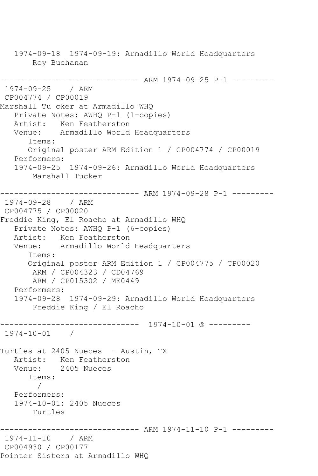1974-09-18 1974-09-19: Armadillo World Headquarters Roy Buchanan ------------------------------ ARM 1974-09-25 P-1 --------- 1974-09-25 / ARM CP004774 / CP00019 Marshall Tu cker at Armadillo WHQ Private Notes: AWHQ P-1 (1-copies) Artist: Ken Featherston Venue: Armadillo World Headquarters Items: Original poster ARM Edition 1 / CP004774 / CP00019 Performers: 1974-09-25 1974-09-26: Armadillo World Headquarters Marshall Tucker ------------------------------ ARM 1974-09-28 P-1 --------- 1974-09-28 / ARM CP004775 / CP00020 Freddie King, El Roacho at Armadillo WHQ Private Notes: AWHQ P-1 (6-copies) Artist: Ken Featherston Venue: Armadillo World Headquarters Items: Original poster ARM Edition 1 / CP004775 / CP00020 ARM / CP004323 / CD04769 ARM / CP015302 / ME0449 Performers: 1974-09-28 1974-09-29: Armadillo World Headquarters Freddie King / El Roacho ------------------------------ 1974-10-01 ® --------- 1974-10-01 / Turtles at 2405 Nueces - Austin, TX Artist: Ken Featherston Venue: 2405 Nueces Items: / Performers: 1974-10-01: 2405 Nueces Turtles ------------------------------ ARM 1974-11-10 P-1 --------- 1974-11-10 / ARM CP004930 / CP00177 Pointer Sisters at Armadillo WHQ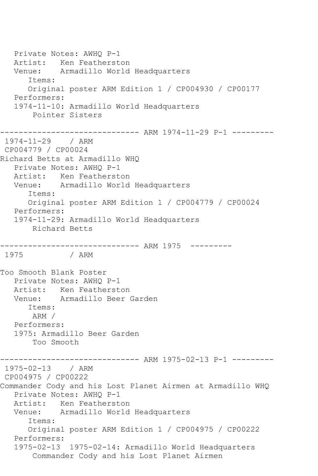Private Notes: AWHQ P-1 Artist: Ken Featherston Venue: Armadillo World Headquarters Items: Original poster ARM Edition 1 / CP004930 / CP00177 Performers: 1974-11-10: Armadillo World Headquarters Pointer Sisters ------------------------------ ARM 1974-11-29 P-1 --------- 1974-11-29 / ARM CP004779 / CP00024 Richard Betts at Armadillo WHQ Private Notes: AWHQ P-1 Artist: Ken Featherston Venue: Armadillo World Headquarters Items: Original poster ARM Edition 1 / CP004779 / CP00024 Performers: 1974-11-29: Armadillo World Headquarters Richard Betts ------------------------------ ARM 1975 --------- / ARM Too Smooth Blank Poster Private Notes: AWHQ P-1 Artist: Ken Featherston Venue: Armadillo Beer Garden Items: ARM / Performers: 1975: Armadillo Beer Garden Too Smooth ------------------------------ ARM 1975-02-13 P-1 --------- 1975-02-13 / ARM CP004975 / CP00222 Commander Cody and his Lost Planet Airmen at Armadillo WHQ Private Notes: AWHQ P-1 Artist: Ken Featherston Venue: Armadillo World Headquarters Items: Original poster ARM Edition 1 / CP004975 / CP00222 Performers: 1975-02-13 1975-02-14: Armadillo World Headquarters Commander Cody and his Lost Planet Airmen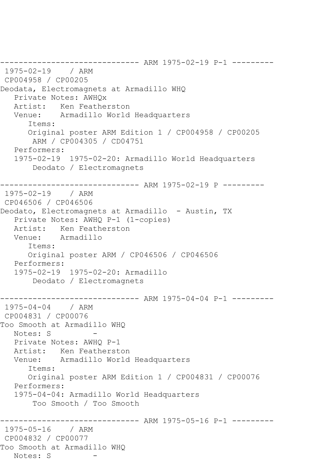------------------------------ ARM 1975-02-19 P-1 --------- 1975-02-19 / ARM CP004958 / CP00205 Deodata, Electromagnets at Armadillo WHQ Private Notes: AWHQx Artist: Ken Featherston Venue: Armadillo World Headquarters Items: Original poster ARM Edition 1 / CP004958 / CP00205 ARM / CP004305 / CD04751 Performers: 1975-02-19 1975-02-20: Armadillo World Headquarters Deodato / Electromagnets ------------------------------ ARM 1975-02-19 P --------- 1975-02-19 / ARM CP046506 / CP046506 Deodato, Electromagnets at Armadillo - Austin, TX Private Notes: AWHQ P-1 (1-copies) Artist: Ken Featherston Venue: Armadillo Items: Original poster ARM / CP046506 / CP046506 Performers: 1975-02-19 1975-02-20: Armadillo Deodato / Electromagnets ------------------------------ ARM 1975-04-04 P-1 --------- 1975-04-04 / ARM CP004831 / CP00076 Too Smooth at Armadillo WHQ Notes: S - Private Notes: AWHQ P-1 Artist: Ken Featherston Venue: Armadillo World Headquarters Items: Original poster ARM Edition 1 / CP004831 / CP00076 Performers: 1975-04-04: Armadillo World Headquarters Too Smooth / Too Smooth ------------------------------ ARM 1975-05-16 P-1 --------- 1975-05-16 / ARM CP004832 / CP00077 Too Smooth at Armadillo WHQ Notes: S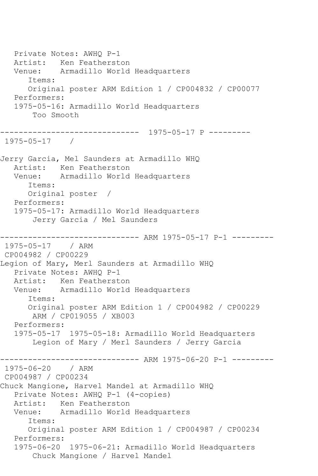Private Notes: AWHQ P-1 Artist: Ken Featherston Venue: Armadillo World Headquarters Items: Original poster ARM Edition 1 / CP004832 / CP00077 Performers: 1975-05-16: Armadillo World Headquarters Too Smooth ------------------------------ 1975-05-17 P --------- 1975-05-17 / Jerry Garcia, Mel Saunders at Armadillo WHQ Artist: Ken Featherston Venue: Armadillo World Headquarters Items: Original poster / Performers: 1975-05-17: Armadillo World Headquarters Jerry Garcia / Mel Saunders ---------- ARM 1975-05-17 P-1 ---------1975-05-17 / ARM CP004982 / CP00229 Legion of Mary, Merl Saunders at Armadillo WHQ Private Notes: AWHQ P-1 Artist: Ken Featherston Venue: Armadillo World Headquarters Items: Original poster ARM Edition 1 / CP004982 / CP00229 ARM / CP019055 / XB003 Performers: 1975-05-17 1975-05-18: Armadillo World Headquarters Legion of Mary / Merl Saunders / Jerry Garcia ------------------------------ ARM 1975-06-20 P-1 --------- 1975-06-20 / ARM CP004987 / CP00234 Chuck Mangione, Harvel Mandel at Armadillo WHQ Private Notes: AWHQ P-1 (4-copies) Artist: Ken Featherston Venue: Armadillo World Headquarters Items: Original poster ARM Edition 1 / CP004987 / CP00234 Performers: 1975-06-20 1975-06-21: Armadillo World Headquarters Chuck Mangione / Harvel Mandel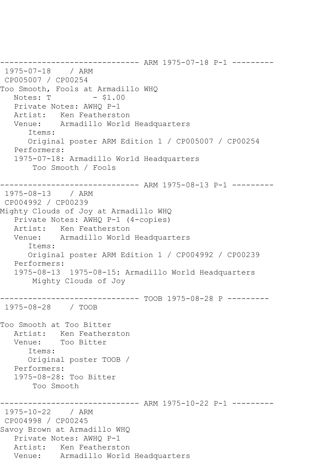```
------------------------------ ARM 1975-07-18 P-1 ---------
1975-07-18 / ARM 
CP005007 / CP00254
Too Smooth, Fools at Armadillo WHQ<br>Notes: T    - $1.00
              - $1.00
   Private Notes: AWHQ P-1
   Artist: Ken Featherston
   Venue: Armadillo World Headquarters
       Items:
       Original poster ARM Edition 1 / CP005007 / CP00254
   Performers:
   1975-07-18: Armadillo World Headquarters
        Too Smooth / Fools
       ------------------------------ ARM 1975-08-13 P-1 ---------
1975-08-13 / ARM 
CP004992 / CP00239
Mighty Clouds of Joy at Armadillo WHQ
    Private Notes: AWHQ P-1 (4-copies)
   Artist: Ken Featherston
   Venue: Armadillo World Headquarters
       Items:
       Original poster ARM Edition 1 / CP004992 / CP00239
   Performers:
    1975-08-13 1975-08-15: Armadillo World Headquarters
        Mighty Clouds of Joy
  ------------------------------ TOOB 1975-08-28 P ---------
1975-08-28 / TOOB 
Too Smooth at Too Bitter
  Artist: Ken Featherston<br>Venue: Too Bitter
            Too Bitter
       Items:
       Original poster TOOB / 
   Performers:
    1975-08-28: Too Bitter
        Too Smooth
                     ---------- ARM 1975-10-22 P-1 ---------
1975-10-22 / ARM 
CP004998 / CP00245
Savoy Brown at Armadillo WHQ
   Private Notes: AWHQ P-1
   Artist: Ken Featherston
   Venue: Armadillo World Headquarters
```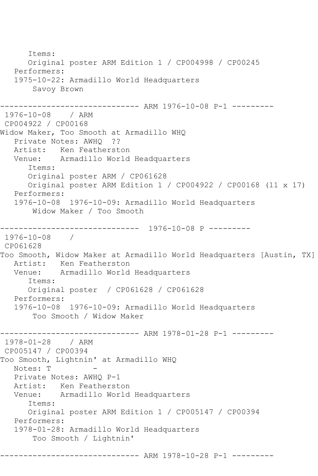```
 Items:
      Original poster ARM Edition 1 / CP004998 / CP00245
   Performers:
   1975-10-22: Armadillo World Headquarters
       Savoy Brown
------------------------------ ARM 1976-10-08 P-1 ---------
1976-10-08 / ARM 
CP004922 / CP00168
Widow Maker, Too Smooth at Armadillo WHQ
   Private Notes: AWHQ ??
   Artist: Ken Featherston
   Venue: Armadillo World Headquarters
      Items:
      Original poster ARM / CP061628
      Original poster ARM Edition 1 / CP004922 / CP00168 (11 x 17)
   Performers:
   1976-10-08 1976-10-09: Armadillo World Headquarters
       Widow Maker / Too Smooth
------------------------------ 1976-10-08 P ---------
1976-10-08 / 
CP061628
Too Smooth, Widow Maker at Armadillo World Headquarters [Austin, TX]
   Artist: Ken Featherston
   Venue: Armadillo World Headquarters
      Items:
      Original poster / CP061628 / CP061628
   Performers:
   1976-10-08 1976-10-09: Armadillo World Headquarters
       Too Smooth / Widow Maker
------------------------------ ARM 1978-01-28 P-1 ---------
1978-01-28 / ARM 
CP005147 / CP00394
Too Smooth, Lightnin' at Armadillo WHQ
  Notes: T
   Private Notes: AWHQ P-1
   Artist: Ken Featherston
   Venue: Armadillo World Headquarters
      Items:
      Original poster ARM Edition 1 / CP005147 / CP00394
   Performers:
   1978-01-28: Armadillo World Headquarters
       Too Smooth / Lightnin'
               --------------- ARM 1978-10-28 P-1 ---------
```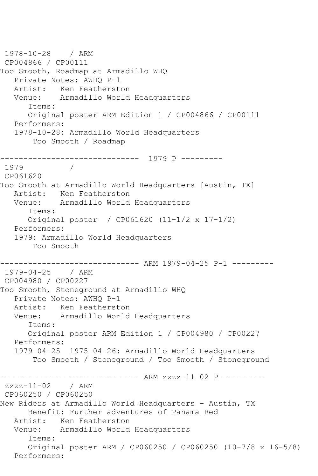```
1978-10-28 / ARM 
CP004866 / CP00111
Too Smooth, Roadmap at Armadillo WHQ
   Private Notes: AWHQ P-1
   Artist: Ken Featherston
   Venue: Armadillo World Headquarters
      Items:
      Original poster ARM Edition 1 / CP004866 / CP00111
   Performers:
   1978-10-28: Armadillo World Headquarters
       Too Smooth / Roadmap
      ------------------------------ 1979 P ---------
1979
CP061620
Too Smooth at Armadillo World Headquarters [Austin, TX]
   Artist: Ken Featherston
   Venue: Armadillo World Headquarters
      Items:
      Original poster / CP061620 (11-1/2 x 17-1/2)
   Performers:
   1979: Armadillo World Headquarters
       Too Smooth
                    ---------- ARM 1979-04-25 P-1 ---------
1979-04-25 / ARM 
CP004980 / CP00227
Too Smooth, Stoneground at Armadillo WHQ
   Private Notes: AWHQ P-1
   Artist: Ken Featherston
   Venue: Armadillo World Headquarters
      Items:
      Original poster ARM Edition 1 / CP004980 / CP00227
   Performers:
   1979-04-25 1975-04-26: Armadillo World Headquarters
       Too Smooth / Stoneground / Too Smooth / Stoneground
------------------------------ ARM zzzz-11-02 P ---------
zzzz-11-02 / ARM 
CP060250 / CP060250
New Riders at Armadillo World Headquarters - Austin, TX
      Benefit: Further adventures of Panama Red
   Artist: Ken Featherston
   Venue: Armadillo World Headquarters
      Items:
      Original poster ARM / CP060250 / CP060250 (10-7/8 x 16-5/8)
   Performers:
```